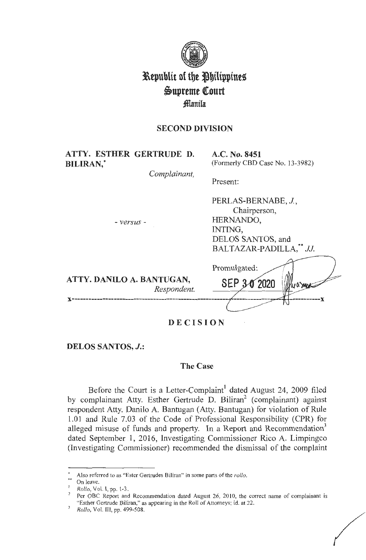

# **l\epublit of tbe Jbilipptneg i>upreme QCourt fflanila**

# **SECOND DIVISION**

| ATTY. ESTHER GERTRUDE D.<br><b>BILIRAN,*</b><br>Complainant, | A.C. No. 8451<br>(Formerly CBD Case No. 13-3982)                                                           |
|--------------------------------------------------------------|------------------------------------------------------------------------------------------------------------|
|                                                              | Present:                                                                                                   |
| $-versus$ -                                                  | PERLAS-BERNABE, J.,<br>Chairperson,<br>HERNANDO,<br>INTING.<br>DELOS SANTOS, and<br>BALTAZAR-PADILLA," JJ. |
| ATTY. DANILO A. BANTUGAN,<br>Respondent.                     | Promulgated:<br>SEP 3-0 2020<br>ly a small<br>- X                                                          |

**DECISION** 

**DELOS SANTOS,** *J.:* 

## **The Case**

Before the Court is a Letter-Complaint<sup>1</sup> dated August 24, 2009 filed by complainant Atty. Esther Gertrude D. Biliran<sup>2</sup> (complainant) against respondent Atty. Danilo A. Bantugan (Atty. Bantugan) for violation of Rule 1.01 and Rule 7.03 of the Code of Professional Responsibility (CPR) for alleged misuse of funds and property. In a Report and Recommendation<sup>3</sup> dated September 1, 2016, Investigating Commissioner Rico A. Limpingco (Investigating Commissioner) recommended the dismissal of the complaint

<sup>•</sup> Also referred to as "Ester Gertrudes Biliran" in some parts of the *rollo.* 

<sup>&</sup>lt;sup>\*\*</sup> On leave.<br><sup>1</sup> *Rollo*, Vol. I, pp. 1-3.

<sup>&</sup>lt;sup>2</sup> Per OBC Report and Recommendation dated August 26, 2010, the correct name of complainant is "Esther Gertrude Biliran," as appearing in the Roll of Attorneys; id. at 22. <sup>3</sup>*Rollo,* Vol. Ill, pp. 499-508.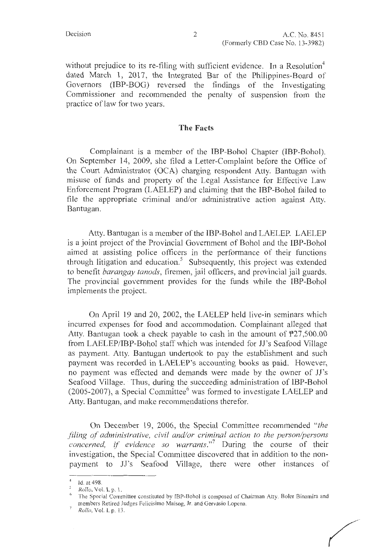without prejudice to its re-filing with sufficient evidence. In a Resolution<sup>4</sup> dated March 1, 2017, the Integrated Bar of the Philippines-Board of Governors (IBP-BOG) reversed the findings of the Investigating Commissioner and recommended the penalty of suspension from the practice of law for two years.

#### **The Facts**

Complainant is a member of the IBP-Bohol Chapter (IBP-Bohol). On September 14, 2009, she filed a Letter-Complaint before the Office of the Court Administrator (OCA) charging respondent Atty. Bantugan with misuse of funds and property of the Legal Assistance for Effective Law Enforcement Program (LAELEP) and claiming that the IBP-Bohol failed to file the appropriate criminal and/or administrative action against Atty. Bantugan.

Atty. Bantugan is a member of the IBP-Bohol and LAELEP. LAELEP is a joint project of the Provincial Government of Bohol and the IBP-Bohol aimed at assisting police officers in the performance of their functions through litigation and education.<sup>5</sup> Subsequently, this project was extended to benefit *barangay tanods,* firemen, jail officers, and provincial jail guards. The provincial government provides for the funds while the IBP-Bohol implements the project.

On April 19 and 20, 2002, the LAELEP held live-in seminars which incurred expenses for food and accommodation. Complainant alleged that Atty. Bantugan took a check payable to cash in the amount of P27,500.00 from LAELEP/IBP-Bohol staff which was intended for JJ's Seafood Village as payment. Atty. Bantugan undertook to pay the establishment and such payment was recorded in LAELEP's accounting books as paid. However, no payment was effected and demands were made by the owner of JJ's Seafood Village. Thus, during the succeeding administration of IBP-Bohol (2005-2007), a Special Committee $<sup>6</sup>$  was formed to investigate LAELEP and</sup> Atty. Bantugan, and make recommendations therefor.

On December 19, 2006, the Special Committee recommended *"the filing of administrative, civil and/or criminal action to the person/persons concerned, if evidence so warrants.*"<sup>7</sup> During the course of their investigation, the Special Committee discovered that in addition to the nonpayment to JJ's Seafood Village, there were other instances of

<sup>4</sup>Id. at 498.

*Rollo,* Vol. I, p. I.

<sup>6</sup>The Special Committee constituted by !BP-Bohol is composed of Chairman Atty. Boler Binamira and members Retired Judges Felicisimo Maisog, Jr. and Gervasio Lopena. *Rollo*, Vol. 1. p. 13.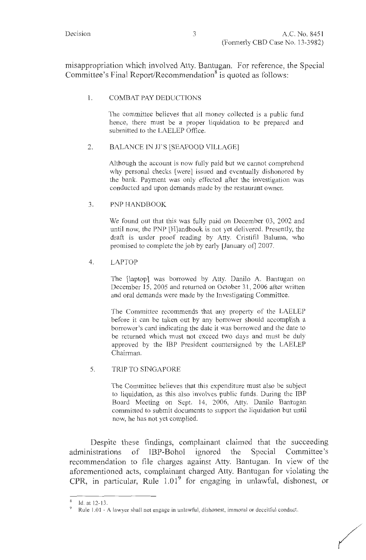misappropriation which involved Atty. Bantugan. For reference, the Special Committee's Final Report/Recommendation<sup>8</sup> is quoted as follows:

## 1. COMBAT PAY DEDUCTIONS

The committee believes that all money collected is a public fund hence, there must be a proper liquidation to be prepared and submitted to the LAELEP Office.

## 2. BALANCE IN JJ'S [SEAFOOD VILLAGE]

Although the account is now fully paid but we cannot comprehend why personal checks [were] issued and eventually dishonored by the bank. Payment was only effected after the investigation was conducted and upon demands made by the restaurant owner.

## 3. PNP HANDBOOK

We found out that this was fully paid on December 03, 2002 and until now, the PNP [H]andbook is not yet delivered. Presently, the draft is under proof reading by Atty. Cristifil Baluma, who promised to complete the job by early [January of] 2007.

## 4. LAPTOP

The [laptop] was borrowed by Atty. Danilo A. Bantugan on December 15, 2005 and returned on October 31, 2006 after written and oral demands were made by the Investigating Committee.

The Committee recommends that any property of the LAELEP before it can be taken out by any borrower should accomplish a borrower's card indicating the date it was borrowed and the date to be returned which must not exceed two days and must be duly approved by the IBP President countersigned by the LAELEP Chairman.

#### 5. TRIP TO SINGAPORE

The Committee believes that this expenditure must also be subject to liquidation, as this also involves public funds. During the IBP Board Meeting on Sept. 14, 2006, Atty. Danilo Bantugan committed to submit documents to support the liquidation but until now, he has not yet complied.

Despite these findings, complainant claimed that the succeeding administrations of IBP-Bohol ignored the Special Committee's recommendation to file charges against Atty. Bantugan. In view of the aforementioned acts, complainant charged Atty. Bantugan for violating the CPR, in particular, Rule  $1.01<sup>9</sup>$  for engaging in unlawful, dishonest, or

<sup>8</sup> ld.atl2-13.

Rule 1.01 - A lawyer shall not engage in unlawful, dishonest, immoral or deceitful conduct.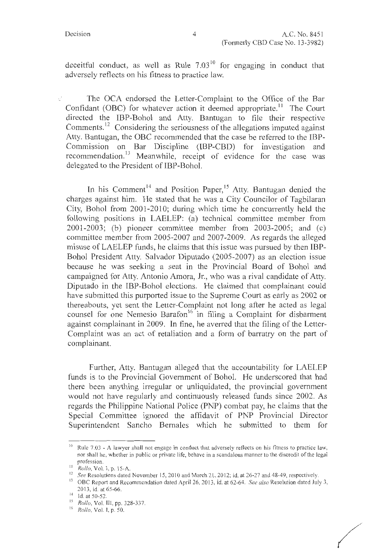deceitful conduct, as well as Rule  $7.03<sup>10</sup>$  for engaging in conduct that adversely reflects on his fitness to practice law.

The OCA endorsed the Letter-Complaint to the Office of the Bar Confidant (OBC) for whatever action it deemed appropriate.<sup>11</sup> The Court directed the IBP-Bohol and Atty. Bantugan to file their respective Comments.<sup>12</sup> Considering the seriousness of the allegations imputed against Atty. Bantugan, the OBC recommended that the case be referred to the IBP-Commission on Bar Discipline (IBP-CBD) for investigation and recommendation.<sup>13</sup> Meanwhile, receipt of evidence for the case was delegated to the President of IBP-Bohol.

In his Comment<sup>14</sup> and Position Paper,<sup>15</sup> Atty. Bantugan denied the charges against him. He stated that he was a City Councilor of Tagbilaran City, Bohol from 2001-2010; during which time he concurrently held the following positions in LAELEP: (a) technical committee member from 2001-2003; (b) pioneer committee member from 2003-2005; and (c) committee member from 2005-2007 and 2007-2009. As regards the alleged misuse of LAELEP funds, he claims that this issue was pursued by then IBP-Bohol President Atty. Salvador Diputado (2005-2007) as an election issue because he was seeking a seat in the Provincial Board of Bohol and campaigned for Atty. Antonio Amara, Jr., who was a rival candidate of Atty. Diputado in the IBP-Bohol elections. He claimed that complainant could have submitted this purported issue to the Supreme Court as early as 2002 or thereabouts, yet sent the Letter-Complaint not long after he acted as legal counsel for one Nemesio Barafon<sup>16</sup> in filing a Complaint for disbarment against complainant in 2009. In fine, he averred that the filing of the Letter-Complaint was an act of retaliation and a form of barratry on the part of complainant.

Further, Atty. Bantugan alleged that the accountability for LAELEP funds is to the Provincial Government of Bohol. He underscored that had there been anything irregular or unliquidated, the provincial government would not have regularly and continuously released funds since 2002. As regards the Philippine National Police **(PNP)** combat pay, he claims that the Special Committee ignored the affidavit of PNP Provincial Director Superintendent Sancho Bernales which he submitted to them for

 $10$  Rule 7.03 - A lawyer shall not engage in conduct that adversely reflects on his fitness to practice law, nor shall he, whether in public or private life, behave in a scandalous manner to the discredit of the legal profession.<br><sup>11</sup> Rollo, Vol. I, p. 15-A.

<sup>&</sup>lt;sup>12</sup> See Resolutions dated November 15, 2010 and March 21, 2012; id. at 26-27 and 48-49, respectively.<br><sup>13</sup> OBC Report and Recommendation dated April 26, 2013, id. at 62-64. See also Resolution dated July 3, 20 13, id. at 65-66.

 $14$  Id. at 50-52.

<sup>15</sup>*Rollo,* Vol. III, pp. 328-337. <sup>16</sup>*Rollo,* Vol. I, p. 50.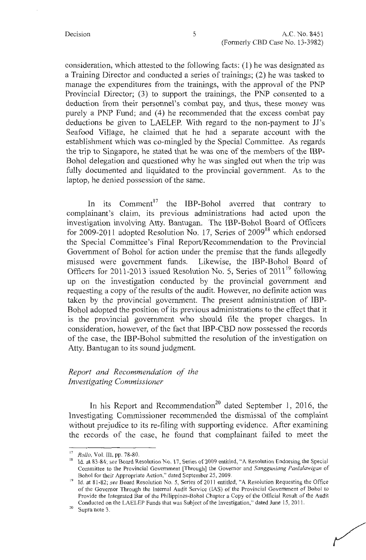consideration, which attested to the following facts: (1) he was designated as a Training Director and conducted a series of trainings; (2) he was tasked to manage the expenditures from the trainings, with the approval of the PNP Provincial Director; (3) to support the trainings, the PNP consented to a deduction from their personnel's combat pay, and thus, these money was purely a PNP Fund; and (4) he recommended that the excess combat pay deductions be given to LAELEP. With regard to the non-payment to JJ's Seafood Village, he claimed that he had a separate account with the establishment which was co-mingled by the Special Committee. As regards the trip to Singapore, he stated that he was one of the members of the IBP-Bohol delegation and questioned why he was singled out when the trip was fully documented and liquidated to the provincial government. As to the laptop, he denied possession of the same.

In its  $Comment<sup>17</sup>$  the IBP-Bohol averred that contrary to complainant's claim, its previous administrations had acted upon the investigation involving Atty. Bantugan. The IBP-Bohol Board of Officers for 2009-2011 adopted Resolution No. 17, Series of  $2009^{18}$  which endorsed the Special Committee's Final Report/Recommendation to the Provincial Government of Bohol for action under the premise that the funds allegedly misused were government funds. Likewise, the IBP-Bohol Board of Officers for 2011-2013 issued Resolution No. 5, Series of  $2011^{19}$  following up on the investigation conducted by the provincial government and requesting a copy of the results of the audit. However, no definite action was taken by the provincial government. The present administration of IBP-Bohol adopted the position of its previous administrations to the effect that it is the provincial government who should file the proper charges. In consideration, however, of the fact that IBP-CBD now possessed the records of the case, the IBP-Bohol submitted the resolution of the investigation on Atty. Bantugan to its sound judgment.

# *Report and Recommendation of the Investigating Commissioner*

In his Report and Recommendation<sup>20</sup> dated September 1, 2016, the Investigating Commissioner recommended the dismissal of the complaint without prejudice to its re-filing with supporting evidence. After examining the records of the case, he found that complainant failed to meet the

<sup>17</sup>*Rollo,* Vol. III, pp. 78-80.

<sup>18</sup> Id. at 83-84; *see* Board Resolution No. 17, Series of 2009 entitled, "A Resolution Endorsing the Special Committee to the Provincial Government [Through] the Governor and *Sangguniang Panlalawigan* of

Bohol for their Appropriate Action," dated September 25, 2009.<br><sup>19</sup>Id. at 81-82; *see* Board Resolution No. 5, Series of 2011 entitled, "A Resolution Requesting the Office of the Governor Through the Internal Audit Service (LAS) of the Provincial Government of Bohol to Provide the Integrated Bar of the Philippines-Bohol Chapter a Copy of the Official Result of the Audit Conducted on the LAELEP Funds that was Subject of the Investigation," dated June 15, 2011.<br><sup>20</sup> Supra note 3.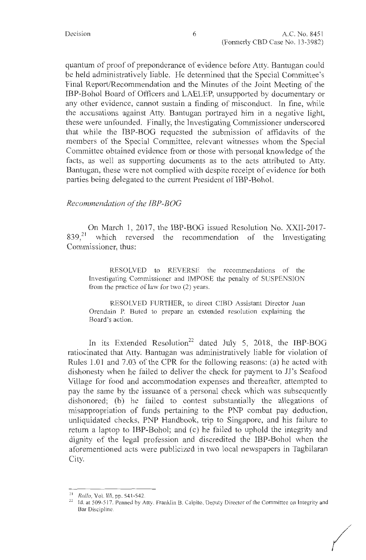quantum of proof of preponderance of evidence before Atty. Bantugan could be held administratively liable. He determined that the Special Committee's Final Report/Recommendation and the Minutes of the Joint Meeting of the IBP-Bohol Board of Officers and LAELEP, unsupported by documentary or any other evidence, cannot sustain a finding of misconduct. In fine, while the accusations against Atty. Bantugan portrayed him in a negative light, these were unfounded. Finally, the Investigating Commissioner underscored that while the IBP-BOG requested the submission of affidavits of the members of the Special Committee, relevant witnesses whom the Special Committee obtained evidence from or those with personal knowledge of the facts, as well as supporting documents as to the acts attributed to Atty. Bantugan, these were not complied with despite receipt of evidence for both parties being delegated to the current President of IBP-Bohol.

## *Recommendation of the IBP-BOG*

On March 1, 2017, the IBP-BOG issued Resolution No. XXII-2017- 839,<sup>21</sup> which reversed the recommendation of the Investigating Commissioner, thus:

RESOLVED to REVERSE the recommendations of the Investigating Commissioner and IMPOSE the penalty of SUSPENSION from the practice of law for two (2) years.

RESOLVED FURTHER, to direct CIBD Assistant Director Juan Orendain P. Buted to prepare an extended resolution explaining the Board's action.

In its Extended Resolution<sup>22</sup> dated July 5, 2018, the IBP-BOG ratiocinated that Atty. Bantugan was administratively liable for violation of Rules 1.01 and 7.03 of the CPR for the following reasons: (a) he acted with dishonesty when he failed to deliver the check for payment to JJ's Seafood Village for food and accommodation expenses and thereafter, attempted to pay the same by the issuance of a personal check which was subsequently dishonored; (b) he failed to contest substantially the allegations of misappropriation of funds pertaining to the PNP combat pay deduction, unliquidated checks, PNP Handbook, trip to Singapore, and his failure to return a laptop to IBP-Bohol; and (c) he failed to uphold the integrity and dignity of the legal profession and discredited the IBP-Bohol when the aforementioned acts were publicized in two local newspapers in Tagbilaran City.

*(* 

<sup>&</sup>lt;sup>21</sup> *Rollo*, Vol. III, pp. 541-542.

<sup>&</sup>lt;sup>22</sup> Id. at 509-517. Penned by Atty. Franklin B. Calpito, Deputy Director of the Committee on Integrity and Bar Discipline.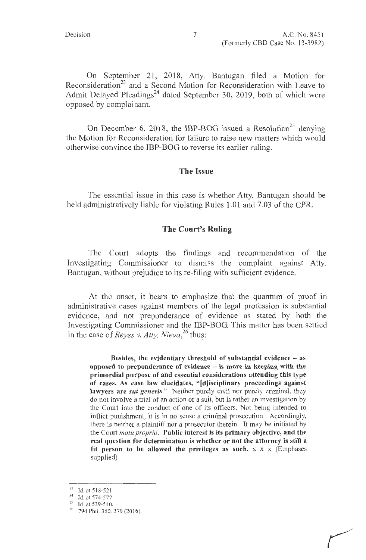On September 21, 2018, Atty. Bantugan filed a Motion for Reconsideration<sup>23</sup> and a Second Motion for Reconsideration with Leave to Admit Delayed Pleadings<sup>24</sup> dated September 30, 2019, both of which were opposed by complainant.

On December 6, 2018, the IBP-BOG issued a Resolution<sup>25</sup> denying the Motion for Reconsideration for failure to raise new matters which would otherwise convince the IBP-BOG to reverse its earlier ruling.

## **The Issue**

The essential issue in this case is whether Atty. Bantugan should be held administratively liable for violating Rules 1.01 and 7.03 of the CPR.

#### **The Court's Ruling**

The Court adopts the findings and recommendation of the Investigating Commissioner to dismiss the complaint against Atty. Bantugan, without prejudice to its re-filing with sufficient evidence.

At the onset, it bears to emphasize that the quantum of proof in administrative cases against members of the legal profession is substantial evidence, and not preponderance of evidence as stated by both the Investigating Commissioner and the IBP-BOG. This matter has been settled in the case of *Reyes v. Atty. Nieva*<sup>26</sup> thus:

**Besides, the evidentiary threshold of substantial evidence** - **as opposed to preponderance of evidence** - **is more in keeping with the primordial purpose of and essential considerations attending this type of cases. As case law elucidates, "[d)isciplinary proceedings against lawyers are** *sui generis."* Neither purely civil nor purely criminal, they do not involve a trial of an action or a suit, but is rather an investigation by the Court into the conduct of one of its officers. Not being intended to inflict punishment, it is in no sense a criminal prosecution. Accordingly, there is neither a plaintiff nor a prosecutor therein. It may be initiated by the Court *motu proprio.* **Public interest is its primary objective, and the real question for determination is whether or not the attorney is still a**  fit person to be allowed the privileges as such.  $x \times x$  (Emphases supplied)

<sup>23</sup> Id. at 518-521.

<sup>&</sup>lt;sup>24</sup> Id. at 574-577.<br><sup>25</sup> Id. at 539-540.<br><sup>26</sup> 794 Phil. 360, 379 (2016).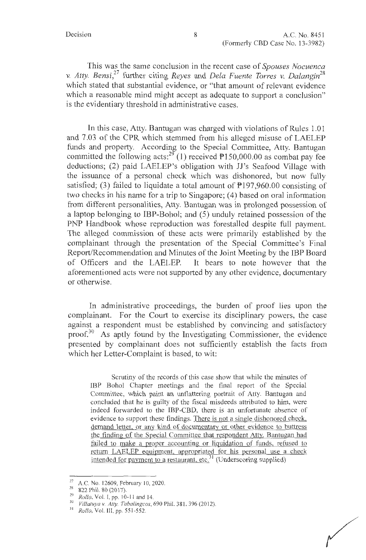This was the same conclusion in the recent case of *Spouses Nocuenca v. Atty. Bensi,<sup>27</sup>*further citing *Reyes* and *Dela Fuente Torres v. Dalangin<sup>28</sup>* which stated that substantial evidence, or "that amount of relevant evidence which a reasonable mind might accept as adequate to support a conclusion" is the evidentiary threshold in administrative cases.

In this case, Atty. Bantugan was charged with violations of Rules 1.01 and 7 .03 of the CPR which stemmed from his alleged misuse of LAELEP funds and property. According to the Special Committee, Atty. Bantugan committed the following acts:<sup>29</sup> (1) received  $P150,000.00$  as combat pay fee deductions; (2) paid LAELEP's obligation with JJ's Seafood Village with the issuance of a personal check which was dishonored, but now fully satisfied; (3) failed to liquidate a total amount of  $P197,960.00$  consisting of two checks in his name for a trip to Singapore; (4) based on oral information from different personalities, Atty. Bantugan was in prolonged possession of a laptop belonging to IBP-Bohol; and (5) unduly retained possession of the PNP Handbook whose reproduction was forestalled despite full payment. The alleged commission of these acts were primarily established by the complainant through the presentation of the Special Committee's Final Report/Recommendation and Minutes of the Joint Meeting by the IBP Board of Officers and the LAELEP. It bears to note however that the aforementioned acts were not supported by any other evidence, documentary or otherwise.

In administrative proceedings, the burden of proof lies upon the complainant. For the Court to exercise its disciplinary powers, the case against a respondent must be established by convincing and satisfactory proof.<sup>30</sup> As aptly found by the Investigating Commissioner, the evidence presented by complainant does not sufficiently establish the facts from which her Letter-Complaint is based, to wit:

Scrutiny of the records of this case show that while the minutes of IBP Bohol Chapter meetings and the final report of the Special Committee, which paint an unflattering portrait of Atty. Bantugan and concluded that he is guilty of the fiscal misdeeds attributed to him, were indeed forwarded to the IBP-CBD, there is an unfortunate absence of evidence to support these findings. There is not a single dishonored check, demand letter, or any kind of documentary or other evidence to buttress the finding of the Special Committee that respondent Atty. Bantugan had failed to make a proper accounting or liquidation of funds, refused to return LAELEP equipment, appropriated for his personal use a check intended for payment to a restaurant, etc.<sup>31</sup> (Underscoring supplied)

<sup>27</sup> A.C. No. 12609, February 10, 2020.<br>
<sup>28</sup> 822 Phil. 80 (2017).<br> *Rollo*, Vol. I, pp. 10-11 and 14.<br>
<sup>30</sup> *Villatuya v. Atty. Tabalingcos*, 690 Phil. 381, 396 (2012).<br> *Rollo*, Vol. III, pp. 551-552.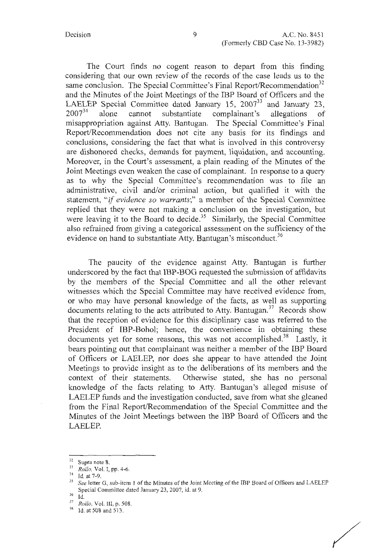The Court finds no cogent reason to depart from this finding considering that our own review of the records of the case leads us to the same conclusion. The Special Committee's Final Report/Recommendation<sup>32</sup> and the Minutes of the Joint Meetings of the IBP Board of Officers and the LAELEP Special Committee dated January 15, 2007<sup>33</sup> and January 23, 2007<sup>34</sup> alone cannot substantiate complainant's allegations of alone cannot substantiate complainant's allegations of misappropriation against Atty. Bantugan. The Special Committee's Final Report/Recommendation does not cite any basis for its findings and conclusions, considering the fact that what is involved in this controversy are dishonored checks, demands for payment, liquidation, and accounting. Moreover, in the Court's assessment, a plain reading of the Minutes of the Joint Meetings even weaken the case of complainant. In response to a query as to why the Special Committee's recommendation was to file an administrative, civil and/or criminal action, but qualified it with the statement, "if *evidence so warrants;"* a member of the Special Committee replied that they were not making a conclusion on the investigation, but were leaving it to the Board to decide.<sup>35</sup> Similarly, the Special Committee also refrained from giving a categorical assessment on the sufficiency of the evidence on hand to substantiate Atty. Bantugan's misconduct.<sup>36</sup>

The paucity of the evidence against Atty. Bantugan is further underscored by the fact that IBP-BOG requested the submission of affidavits by the members of the Special Committee and all the other relevant witnesses which the Special Committee may have received evidence from, or who may have personal knowledge of the facts, as well as supporting documents relating to the acts attributed to Atty. Bantugan. 37 Records show that the reception of evidence for this disciplinary case was referred to the President of IBP-Bohol; hence, the convenience in obtaining these documents yet for some reasons, this was not accomplished.<sup>38</sup> Lastly, it bears pointing out that complainant was neither a member of the IBP Board of Officers or LAELEP, nor does she appear to have attended the Joint Meetings to provide insight as to the deliberations of its members and the context of their statements. Otherwise stated, she has no personal knowledge of the facts relating to Atty. Bantugan's alleged misuse of LAELEP funds and the investigation conducted, save from what she gleaned from the Final Report/Recommendation of the Special Committee and the Minutes of the Joint Meetings between the IBP Board of Officers and the LAELEP.

<sup>32</sup> Supra note 8. 33 *Rollo,* Vol. I, pp. 4-6.

See letter G, sub-item 1 of the Minutes of the Joint Meeting of the IBP Board of Officers and LAELEP Special Committee dated January 23, 2007, id. at 9.

<sup>36</sup> Id.

<sup>&</sup>lt;sup>37</sup> *Rollo*, Vol. III, p. 508.<br><sup>38</sup> Id. at 508 and 513.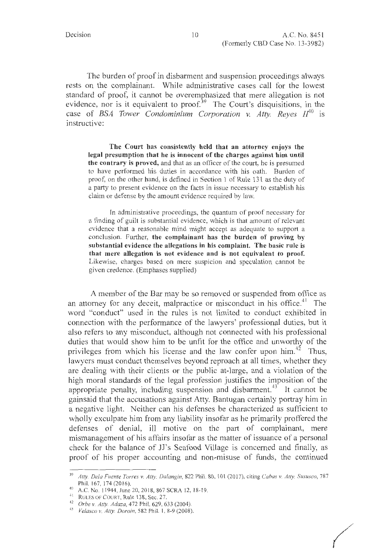The burden of proof in disbarment and suspension proceedings always rests on the complainant. While administrative cases call for the lowest standard of proof, it cannot be overemphasized that mere allegation is not evidence, nor is it equivalent to proof.<sup>39</sup> The Court's disquisitions, in the case of *BSA Tower Condominium Corporation v. Atty. Reyes*  $II^{40}$  *is* instructive:

**The Court has consistently held that an attorney enjoys the legal presumption that he is innocent of the charges against him until the contrary is proved,** and that as an officer of the court, he is presumed to have performed his duties in accordance with his oath. Burden of proof, on the other hand, is defined in Section 1 of Rule 131 as the duty of a party to present evidence on the facts in issue necessary to establish his claim or defense by the amount evidence required by law.

Jn administrative proceedings, the quantum of proof necessary for a finding of guilt is substantial evidence, which is that amount of relevant evidence that a reasonable mind might accept as adequate to support a conclusion. Further, **the complainant has the burden of proving by substantial evidence the allegations in his complaint. The basic rule is that mere allegation is not evidence and is not equivalent to proof.**  Likewise, charges based on mere suspicion and speculation cannot be given credence. (Emphases supplied)

A member of the Bar may be so removed or suspended from office as an attorney for any deceit, malpractice or misconduct in his office. $41$  The word "conduct" used in the rules is not limited to conduct exhibited in connection with the performance of the lawyers' professional duties, but it also refers to any misconduct, although not connected with his professional duties that would show him to be unfit for the office and unworthy of the privileges from which his license and the law confer upon  $\lim_{n \to \infty}$  Thus, lawyers must conduct themselves beyond reproach at all times, whether they are dealing with their clients or the public at-large, and a violation of the high moral standards of the legal profession justifies the imposition of the appropriate penalty, including suspension and disbarment.<sup>43</sup> It cannot be gainsaid that the accusations against Atty. Bantugan certainly portray him in a negative light. Neither can his defenses be characterized as sufficient to wholly exculpate him from any liability insofar as he primarily proffered the defenses of denial, ill motive on the part of complainant, mere mismanagement of his affairs insofar as the matter of issuance of a personal check for the balance of JJ's Seafood Village is concerned and finally, as proof of his proper accounting and non-misuse of funds, the continued

*f* 

<sup>39</sup>*Atty. Dela Fuente Torres v. Atty. Dalangin,* 822 Phil. 80, IOI (2017), citing *Cabas v. Alfy. Sususco,* 787 Phil. 167, 174 (2016).<br>
40 A.C. No. 11944, June 20, 2018, 867 SCRA 12, 18-19.<br>
41 RULES OF COURT, Rule 138, Sec. 27.

<sup>41</sup><sup>R</sup> ULES OF COURT, Rule 138, Sec. 27. 42 *Orbe v. Atty. Adaza,* 472 Phil. 629, 633 (2004). 43 *Velasco v. Atty. Doroin,* 582 Phil. I, 8-9 (2008).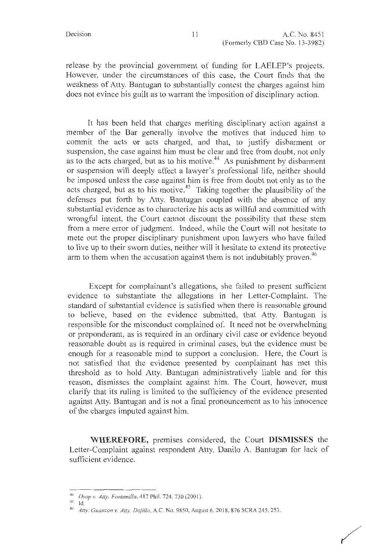release by the provincial government of funding for LAELEP's projects. However, under the circumstances of this case, the Court finds that the weakness of Atty. Bantugan to substantially contest the charges against him does not evince his guilt as to warrant the imposition of disciplinary action.

It has been held that charges meriting disciplinary action against a member of the Bar generally involve the motives that induced him to commit the acts or acts charged, and that, to justify disbarment or suspension, the case against him must be clear and free from doubt, not only as to the acts charged, but as to his motive.<sup>44</sup> As punishment by disbarment or suspension will deeply affect a lawyer's professional life, neither should be imposed unless the case against him is free from doubt not only as to the acts charged, but as to his motive.<sup>45</sup> Taking together the plausibility of the defenses put forth by Atty. Bantugan coupled with the absence of any substantial evidence as to characterize his acts as willful and committed with wrongful intent, the Court cannot discount the possibility that these stem from a mere error of judgment. Indeed, while the Court will not hesitate to mete out the proper disciplinary punishment upon lawyers who have failed to live up to their sworn duties, neither will it hesitate to extend its protective arm to them when the accusation against them is not indubitably proven.<sup>46</sup>

Except for complainant's allegations, she failed to present sufficient evidence to substantiate the allegations in her Letter-Complaint. The standard of substantial evidence is satisfied when there is reasonable ground to believe, based on the evidence submitted, that Atty. Bantugan is responsible for the misconduct complained of. It need not be overwhelming or preponderant, as is required in an ordinary civil case or evidence beyond reasonable doubt as is required in criminal cases, but the evidence must be enough for a reasonable mind to support a conclusion. Here, the Court is not satisfied that the evidence presented by complainant has met this threshold as to hold Atty. Bantugan administratively liable and for this reason, dismisses the complaint against him. The Court, however, must clarify that its ruling is limited to the sufficiency of the evidence presented against Atty. Bantugan and is not a final pronouncement as to his innocence of the charges imputed against him.

**WHEREFORE,** premises considered, the Court **DISMISSES** the Letter-Complaint against respondent Atty. Danilo A. Bantugan for lack of sufficient evidence.

<sup>44</sup>*Osop v. Ally. Fontanilla,* 417 Phil. 724, 730 (200 I).

 $^{45}$  Id.

<sup>46</sup>*Alty. Guanzon v. Ally. Dojil/o,* A.C. No. 9850, August 6, 2018, 876 SCRA 245, 253.